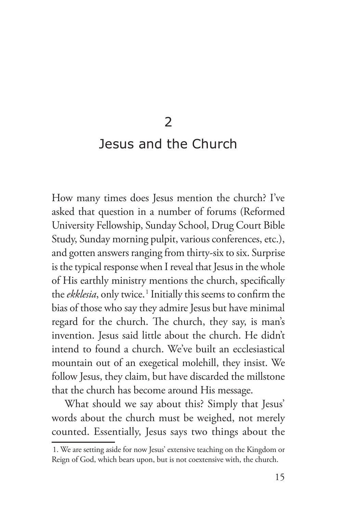2

## Jesus and the Church

How many times does Jesus mention the church? I've asked that question in a number of forums (Reformed University Fellowship, Sunday School, Drug Court Bible Study, Sunday morning pulpit, various conferences, etc.), and gotten answers ranging from thirty-six to six. Surprise is the typical response when I reveal that Jesus in the whole of His earthly ministry mentions the church, specifically the *ekklesia*, only twice.<sup>1</sup> Initially this seems to confirm the bias of those who say they admire Jesus but have minimal regard for the church. The church, they say, is man's invention. Jesus said little about the church. He didn't intend to found a church. We've built an ecclesiastical mountain out of an exegetical molehill, they insist. We follow Jesus, they claim, but have discarded the millstone that the church has become around His message.

What should we say about this? Simply that Jesus' words about the church must be weighed, not merely counted. Essentially, Jesus says two things about the

<sup>1.</sup> We are setting aside for now Jesus' extensive teaching on the Kingdom or Reign of God, which bears upon, but is not coextensive with, the church.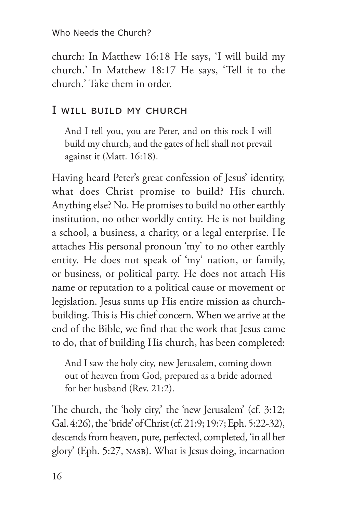Who Needs the Church?

church: In Matthew 16:18 He says, 'I will build my church.' In Matthew 18:17 He says, 'Tell it to the church.' Take them in order.

## I will build my church

And I tell you, you are Peter, and on this rock I will build my church, and the gates of hell shall not prevail against it (Matt. 16:18).

Having heard Peter's great confession of Jesus' identity, what does Christ promise to build? His church. Anything else? No. He promises to build no other earthly institution, no other worldly entity. He is not building a school, a business, a charity, or a legal enterprise. He attaches His personal pronoun 'my' to no other earthly entity. He does not speak of 'my' nation, or family, or business, or political party. He does not attach His name or reputation to a political cause or movement or legislation. Jesus sums up His entire mission as churchbuilding. This is His chief concern. When we arrive at the end of the Bible, we find that the work that Jesus came to do, that of building His church, has been completed:

And I saw the holy city, new Jerusalem, coming down out of heaven from God, prepared as a bride adorned for her husband (Rev. 21:2).

The church, the 'holy city,' the 'new Jerusalem' (cf. 3:12; Gal. 4:26), the 'bride' of Christ (cf. 21:9; 19:7; Eph. 5:22-32), descends from heaven, pure, perfected, completed, 'in all her glory' (Eph. 5:27, NASB). What is Jesus doing, incarnation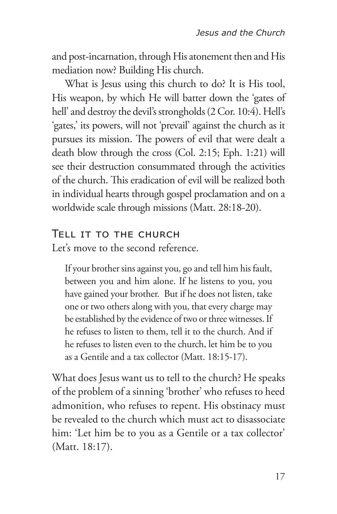and post-incarnation, through His atonement then and His mediation now? Building His church.

What is Jesus using this church to do? It is His tool, His weapon, by which He will batter down the 'gates of hell' and destroy the devil's strongholds (2 Cor. 10:4). Hell's 'gates,' its powers, will not 'prevail' against the church as it pursues its mission. The powers of evil that were dealt a death blow through the cross (Col. 2:15; Eph. 1:21) will see their destruction consummated through the activities of the church. This eradication of evil will be realized both in individual hearts through gospel proclamation and on a worldwide scale through missions (Matt. 28:18-20).

## Tell it to the church

Let's move to the second reference.

If your brother sins against you, go and tell him his fault, between you and him alone. If he listens to you, you have gained your brother. But if he does not listen, take one or two others along with you, that every charge may be established by the evidence of two or three witnesses. If he refuses to listen to them, tell it to the church. And if he refuses to listen even to the church, let him be to you as a Gentile and a tax collector (Matt. 18:15-17).

What does Jesus want us to tell to the church? He speaks of the problem of a sinning 'brother' who refuses to heed admonition, who refuses to repent. His obstinacy must be revealed to the church which must act to disassociate him: 'Let him be to you as a Gentile or a tax collector' (Matt. 18:17).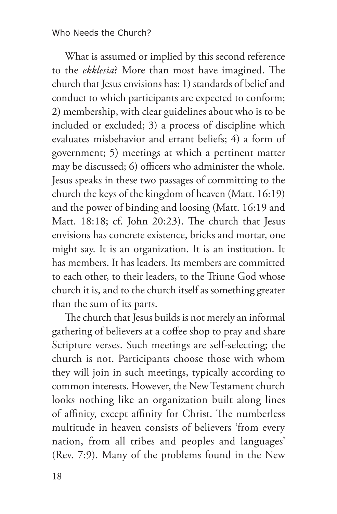## Who Needs the Church?

What is assumed or implied by this second reference to the *ekklesia*? More than most have imagined. The church that Jesus envisions has: 1) standards of belief and conduct to which participants are expected to conform; 2) membership, with clear guidelines about who is to be included or excluded; 3) a process of discipline which evaluates misbehavior and errant beliefs; 4) a form of government; 5) meetings at which a pertinent matter may be discussed; 6) officers who administer the whole. Jesus speaks in these two passages of committing to the church the keys of the kingdom of heaven (Matt. 16:19) and the power of binding and loosing (Matt. 16:19 and Matt. 18:18; cf. John 20:23). The church that Jesus envisions has concrete existence, bricks and mortar, one might say. It is an organization. It is an institution. It has members. It has leaders. Its members are committed to each other, to their leaders, to the Triune God whose church it is, and to the church itself as something greater than the sum of its parts.

The church that Jesus builds is not merely an informal gathering of believers at a coffee shop to pray and share Scripture verses. Such meetings are self-selecting; the church is not. Participants choose those with whom they will join in such meetings, typically according to common interests. However, the New Testament church looks nothing like an organization built along lines of affinity, except affinity for Christ. The numberless multitude in heaven consists of believers 'from every nation, from all tribes and peoples and languages' (Rev. 7:9). Many of the problems found in the New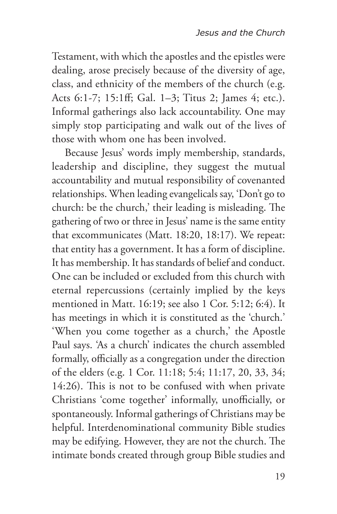Testament, with which the apostles and the epistles were dealing, arose precisely because of the diversity of age, class, and ethnicity of the members of the church (e.g. Acts 6:1-7; 15:1ff; Gal. 1–3; Titus 2; James 4; etc.). Informal gatherings also lack accountability. One may simply stop participating and walk out of the lives of those with whom one has been involved.

Because Jesus' words imply membership, standards, leadership and discipline, they suggest the mutual accountability and mutual responsibility of covenanted relationships. When leading evangelicals say, 'Don't go to church: be the church,' their leading is misleading. The gathering of two or three in Jesus' name is the same entity that excommunicates (Matt. 18:20, 18:17). We repeat: that entity has a government. It has a form of discipline. It has membership. It has standards of belief and conduct. One can be included or excluded from this church with eternal repercussions (certainly implied by the keys mentioned in Matt. 16:19; see also 1 Cor. 5:12; 6:4). It has meetings in which it is constituted as the 'church.' 'When you come together as a church,' the Apostle Paul says. 'As a church' indicates the church assembled formally, officially as a congregation under the direction of the elders (e.g. 1 Cor. 11:18; 5:4; 11:17, 20, 33, 34; 14:26). This is not to be confused with when private Christians 'come together' informally, unofficially, or spontaneously. Informal gatherings of Christians may be helpful. Interdenominational community Bible studies may be edifying. However, they are not the church. The intimate bonds created through group Bible studies and